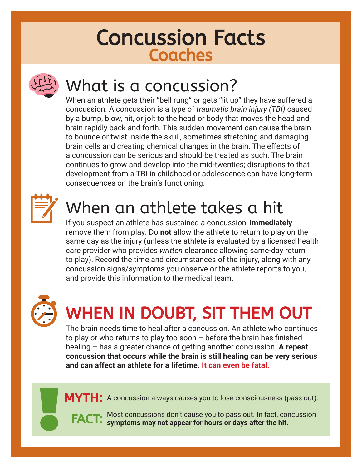### Concussion Facts **Coaches**



## What is a concussion?

When an athlete gets their "bell rung" or gets "lit up" they have suffered a concussion. A concussion is a type of *traumatic brain injury (TBI)* caused by a bump, blow, hit, or jolt to the head or body that moves the head and brain rapidly back and forth. This sudden movement can cause the brain to bounce or twist inside the skull, sometimes stretching and damaging brain cells and creating chemical changes in the brain. The effects of a concussion can be serious and should be treated as such. The brain continues to grow and develop into the mid-twenties; disruptions to that development from a TBI in childhood or adolescence can have long-term consequences on the brain's functioning.



## When an athlete takes a hit

If you suspect an athlete has sustained a concussion, **immediately** remove them from play. Do **not** allow the athlete to return to play on the same day as the injury (unless the athlete is evaluated by a licensed health care provider who provides *written* clearance allowing same-day return to play). Record the time and circumstances of the injury, along with any concussion signs/symptoms you observe or the athlete reports to you, and provide this information to the medical team.



## WHEN IN DOUBT, SIT THEM OUT

The brain needs time to heal after a concussion. An athlete who continues to play or who returns to play too soon – before the brain has finished healing – has a greater chance of getting another concussion. **A repeat concussion that occurs while the brain is still healing can be very serious and can affect an athlete for a lifetime. It can even be fatal.** 

 $\boldsymbol{\mathsf{M}\mathsf{Y}\mathsf{T}\mathsf{H}}$ : A concussion always causes you to lose consciousness (pass out).

Most concussions don't cause you to pass out. In fact, concussion **symptoms may not appear for hours or days after the hit.** FACT: